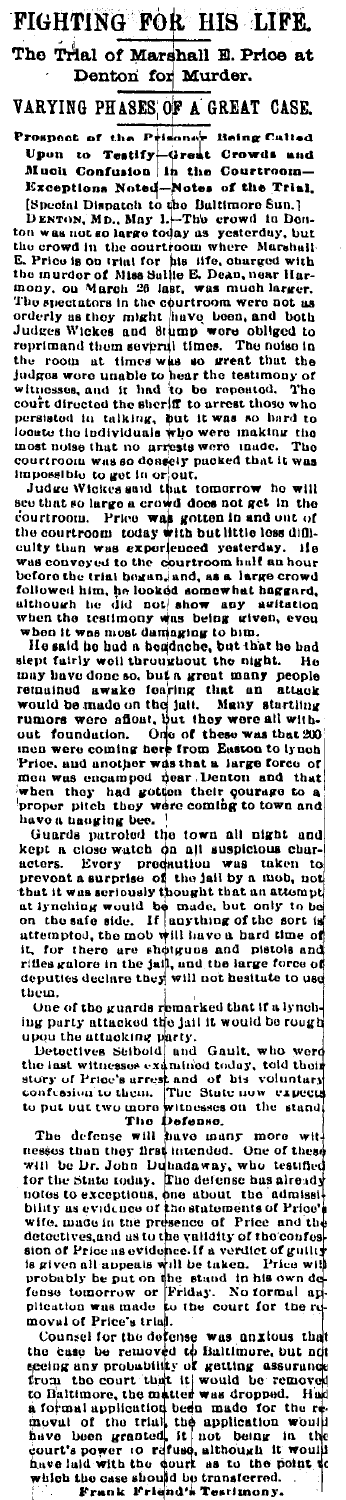## FIGHTING FOR HIS LIFE. The Trial of Marshall E. Price at Denton for Murder.

## VARYING PHASES OF A GREAT CASE.

Prospect of the Prisoner Being Called<br>Upon to Testify Great Crowds and<br>Much Confusion in the Courtreom

Upon to Testify Great Crowns and Muon Control in the Courtroom Exceptions Noted-Notes of the Trial, [Second Dispected] Dentrois Dentrois Dentrois Dentrois Dentrois Dentrois Dentrois Dentrois Upon the courtroom where Marsha

presented in this and design of the was so that the properties of the following in the interval in the interval in the control of the set of the set of the set of the control in the control of the control of the control of

may have done so, but a great many people remained awake fearing that an attack remained awake foaring that an attack<br>would be made on the jait. Many startling<br>rumors were afloat, but they were all with-<br>out foundation. One of these was that 200<br>men were coming here from Easton to lynch<br>Prioc, and ano

proper pitch they were coming to town and<br>have a hanging bee.<br>I show that the community of the state and kept a close watch on all suspicious char-<br>acters. Every prodution was taken to<br>prevent a surprise of the jail by a or subseque to make the main and bind the of<br>it, for there are shippens and bisols and<br>rifles galore in the jail, and the intege force on<br>deputies decinre they will not besitude to use thein.

Cone of the guards remarked that if a lynch-<br>ing party attacked the jail it would be rough<br>upon the attacking party.<br>Detectives Seibold and Gault, who were

upon the attacking party.<br>
Detectives Seibold and Ganit, who were<br>
the iast witnesses examined to his volution<br>
story of Price's arrest and of this volution<br>
confession to them. The State now expects<br>
to put out two more w

more with<br>One of these<br>who testified will be Dr. John Duhadaway, who testifued<br>for the State today. The defense has already<br>notes to exceptions, one about the admissi-<br>bility as evidence of the statements of Price's<br>wife, made in the presence of Price and th solution of Friedrich and the state of the state of the state of the state of the state of the state of the state of the state of the probability in the state of the property of  $\mathbf{F}_{\text{H}}$ . The state of the state of th аp

moval of Price's trial.<br>Counsel for the defense was anxious that<br>the case to removed to Baltimore, but not<br>seeing any probability of getting assurance<br>from the court that it would be removed<br>from the court that it would be